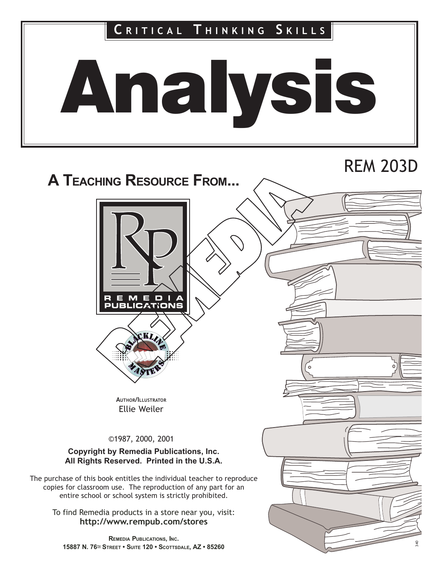

# REM 203D

# A TEACHING RESOURCE FROM...





AUTHOR/ILLUSTRATOR Ellie Weiler

©1987, 2000, 2001

### Copyright by Remedia Publications, Inc. All Rights Reserved. Printed in the U.S.A.

The purchase of this book entitles the individual teacher to reproduce copies for classroom use. The reproduction of any part for an entire school or school system is strictly prohibited.

To find Remedia products in a store near you, visit: http://www.rempub.com/stores

REMEDIA PUBLICATIONS, INC. 15887 N. 76<sup>TH</sup> STREET • SUITE 120 • SCOTTSDALE, AZ • 85260

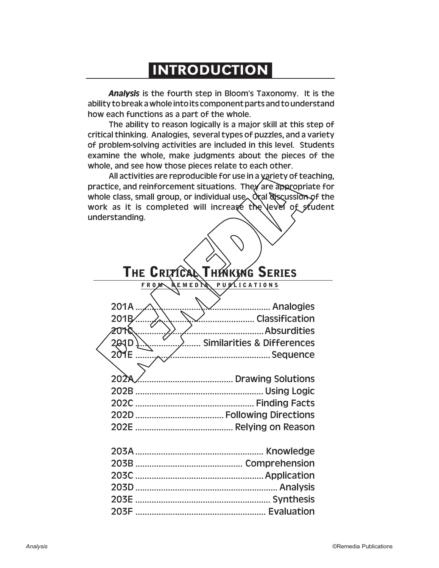## **INTRODUCTION**

*Analysis* is the fourth step in Bloom's Taxonomy. It is the ability to break a whole into its component parts and to understand how each functions as a part of the whole.

The ability to reason logically is a major skill at this step of critical thinking. Analogies, several types of puzzles, and a variety of problem-solving activities are included in this level. Students examine the whole, make judgments about the pieces of the whole, and see how those pieces relate to each other.

All activities are reproducible for use in a variety of teaching, practice, and reinforcement situations. They are appropriate for whole class, small group, or individual use. Oral discussion of the work as it is completed will increase the level of student understanding.

## **THE CRITICAL THINKING SERIES**

### **FROM REMEDIA PUBLICATIONS**

| 201D  Similarities & Differences |
|----------------------------------|
|                                  |
|                                  |
|                                  |
|                                  |
|                                  |
|                                  |
|                                  |
|                                  |
|                                  |
|                                  |
|                                  |
|                                  |
|                                  |
|                                  |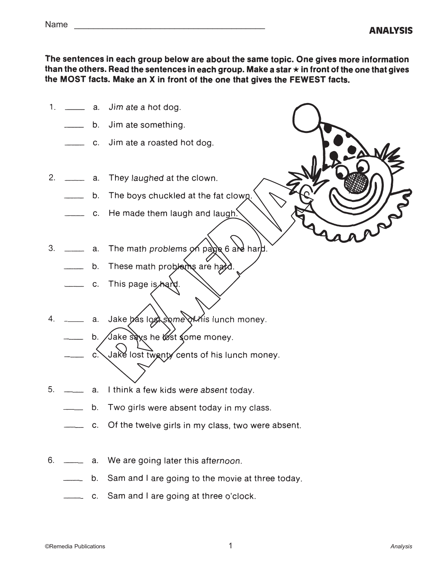|  | ۰,<br>× |  |  |
|--|---------|--|--|
|--|---------|--|--|

The sentences in each group below are about the same topic. One gives more information than the others. Read the sentences in each group. Make a star  $\star$  in front of the one that gives the MOST facts. Make an X in front of the one that gives the FEWEST facts.

- 1.  $\_\_\_\_\$  a. Jim ate a hot dog.
	- b. Jim ate something.
	- \_ c. Jim ate a roasted hot dog.
- 2. \_\_\_\_\_\_\_ a. They laughed at the clown.
	- b. The boys chuckled at the fat clown.
	- \_\_\_\_ c. He made them laugh and laugh.
- $3. \t 3.$ The math problems on page 6 are hard.
	- These math problems are hard. b.
	- C. This page is hard.
- 4. \_\_\_\_\_\_\_\_ a. Jake has lost some of his lunch money.
	- b. Jake says he lost some money.
	- \_ c. Jake lost twenty cents of his lunch money.
- $5. \quad \underline{\hspace{2cm}}$ a. I think a few kids were absent today.
	- b. Two girls were absent today in my class.
		- c. Of the twelve girls in my class, two were absent.
- 6. \_\_\_\_\_\_\_\_ a. We are going later this afternoon.
	- b. Sam and I are going to the movie at three today.
	-

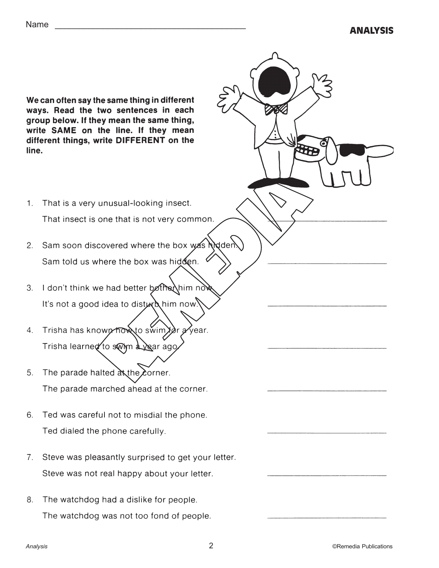We can often say the same thing in different ways. Read the two sentences in each group below. If they mean the same thing, write SAME on the line. If they mean different things, write DIFFERENT on the line.

- G
- 1. That is a very unusual-looking insect. That insect is one that is not very common.
- 2. Sam soon discovered where the box was hidden. Sam told us where the box was hidden.
- 3. I don't think we had better bother him now. It's not a good idea to disturb him now.
- Trisha has known how to swim for a year.  $\overline{4}$ Trisha learned to swim a year ago.
- 5. The parade halted at the corner. The parade marched ahead at the corner.
- Ted was careful not to misdial the phone. 6. Ted dialed the phone carefully.
- 7. Steve was pleasantly surprised to get your letter. Steve was not real happy about your letter.
- 8. The watchdog had a dislike for people. The watchdog was not too fond of people.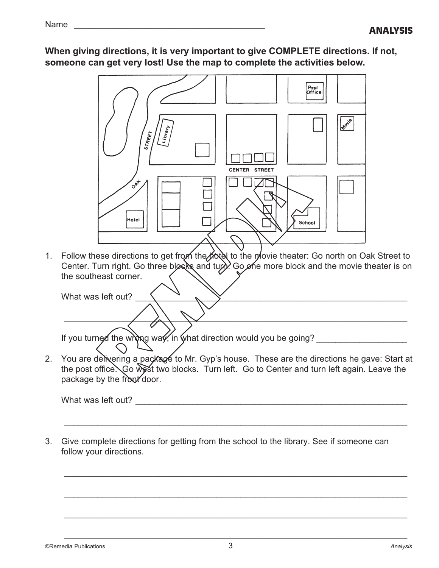When giving directions, it is very important to give COMPLETE directions. If not, someone can get very lost! Use the map to complete the activities below.



1. Follow these directions to get from the hotel to the movie theater: Go north on Oak Street to Center. Turn right. Go three blocks and turn. Go one more block and the movie theater is on the southeast corner.

What was left out? \_\_\_\_\_\_\_\_\_\_\_\_\_\_\_\_\_\_\_\_\_\_\_\_\_\_\_\_\_\_\_\_\_\_\_\_\_\_\_\_\_\_\_\_\_\_\_\_\_\_\_\_\_\_\_\_\_

If you turned the wrong way, in what direction would you be going?

2. You are delivering a package to Mr. Gyp's house. These are the directions he gave: Start at the post office. Go west two blocks. Turn left. Go to Center and turn left again. Leave the package by the front door.

\_\_\_\_\_\_\_\_\_\_\_\_\_\_\_\_\_\_\_\_\_\_\_\_\_\_\_\_\_\_\_\_\_\_\_\_\_\_\_\_\_\_\_\_\_\_\_\_\_\_\_\_\_\_\_\_\_\_\_\_\_\_\_\_\_\_\_\_\_\_\_\_

\_\_\_\_\_\_\_\_\_\_\_\_\_\_\_\_\_\_\_\_\_\_\_\_\_\_\_\_\_\_\_\_\_\_\_\_\_\_\_\_\_\_\_\_\_\_\_\_\_\_\_\_\_\_\_\_\_\_\_\_\_\_\_\_\_\_\_\_\_\_\_\_

\_\_\_\_\_\_\_\_\_\_\_\_\_\_\_\_\_\_\_\_\_\_\_\_\_\_\_\_\_\_\_\_\_\_\_\_\_\_\_\_\_\_\_\_\_\_\_\_\_\_\_\_\_\_\_\_\_\_\_\_\_\_\_\_\_\_\_\_\_\_\_\_

\_\_\_\_\_\_\_\_\_\_\_\_\_\_\_\_\_\_\_\_\_\_\_\_\_\_\_\_\_\_\_\_\_\_\_\_\_\_\_\_\_\_\_\_\_\_\_\_\_\_\_\_\_\_\_\_\_\_\_\_\_\_\_\_\_\_\_\_\_\_\_\_

\_\_\_\_\_\_\_\_\_\_\_\_\_\_\_\_\_\_\_\_\_\_\_\_\_\_\_\_\_\_\_\_\_\_\_\_\_\_\_\_\_\_\_\_\_\_\_\_\_\_\_\_\_\_\_\_\_\_\_\_\_\_\_\_\_\_\_\_\_\_\_\_

\_\_\_\_\_\_\_\_\_\_\_\_\_\_\_\_\_\_\_\_\_\_\_\_\_\_\_\_\_\_\_\_\_\_\_\_\_\_\_\_\_\_\_\_\_\_\_\_\_\_\_\_\_\_\_\_\_\_\_\_\_\_\_\_\_\_\_\_\_\_\_\_

What was left out?

3. Give complete directions for getting from the school to the library. See if someone can follow your directions.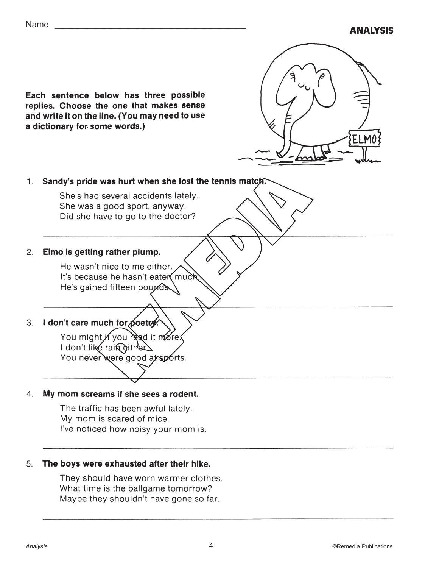



## 1. Sandy's pride was hurt when she lost the tennis match.

She's had several accidents lately. She was a good sport, anyway. Did she have to go to the doctor?

#### $2.$ Elmo is getting rather plump.

He wasn't nice to me either. It's because he hasn't eaten much. He's gained fifteen pounds.

#### 3. I don't care much for poetry.

You might if you read it more. I don't like rain either. You never were good at sports.

#### $4.$ My mom screams if she sees a rodent.

The traffic has been awful lately. My mom is scared of mice. I've noticed how noisy your mom is.

#### 5. The boys were exhausted after their hike.

They should have worn warmer clothes. What time is the ballgame tomorrow? Maybe they shouldn't have gone so far.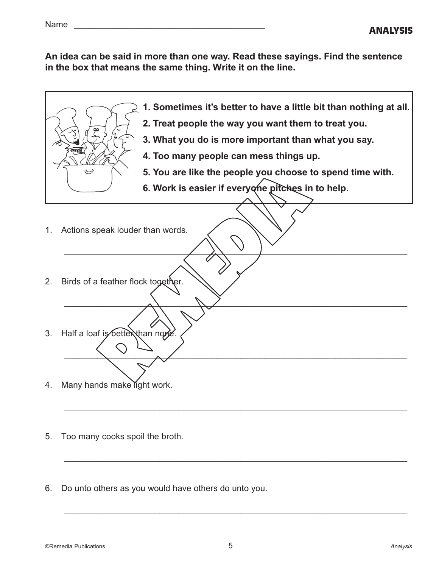An idea can be said in more than one way. Read these sayings. Find the sentence in the box that means the same thing. Write it on the line.



- 1. Sometimes it's better to have a little bit than nothing at all.
- 2. Treat people the way you want them to treat you.
- 3. What you do is more important than what you say.
- 4. Too many people can mess things up.

\_\_\_\_\_\_\_\_\_\_\_\_\_\_\_\_\_\_\_\_\_\_\_\_\_\_\_\_\_\_\_\_\_\_\_\_\_\_\_\_\_\_\_\_\_\_\_\_\_\_\_\_\_\_\_\_\_\_\_\_\_\_\_\_\_\_\_\_\_\_\_\_

\_\_\_\_\_\_\_\_\_\_\_\_\_\_\_\_\_\_\_\_\_\_\_\_\_\_\_\_\_\_\_\_\_\_\_\_\_\_\_\_\_\_\_\_\_\_\_\_\_\_\_\_\_\_\_\_\_\_\_\_\_\_\_\_\_\_\_\_\_\_\_\_

\_\_\_\_\_\_\_\_\_\_\_\_\_\_\_\_\_\_\_\_\_\_\_\_\_\_\_\_\_\_\_\_\_\_\_\_\_\_\_\_\_\_\_\_\_\_\_\_\_\_\_\_\_\_\_\_\_\_\_\_\_\_\_\_\_\_\_\_\_\_\_\_

\_\_\_\_\_\_\_\_\_\_\_\_\_\_\_\_\_\_\_\_\_\_\_\_\_\_\_\_\_\_\_\_\_\_\_\_\_\_\_\_\_\_\_\_\_\_\_\_\_\_\_\_\_\_\_\_\_\_\_\_\_\_\_\_\_\_\_\_\_\_\_\_

\_\_\_\_\_\_\_\_\_\_\_\_\_\_\_\_\_\_\_\_\_\_\_\_\_\_\_\_\_\_\_\_\_\_\_\_\_\_\_\_\_\_\_\_\_\_\_\_\_\_\_\_\_\_\_\_\_\_\_\_\_\_\_\_\_\_\_\_\_\_\_\_

\_\_\_\_\_\_\_\_\_\_\_\_\_\_\_\_\_\_\_\_\_\_\_\_\_\_\_\_\_\_\_\_\_\_\_\_\_\_\_\_\_\_\_\_\_\_\_\_\_\_\_\_\_\_\_\_\_\_\_\_\_\_\_\_\_\_\_\_\_\_\_\_

- 5. You are like the people you choose to spend time with.
- 6. Work is easier if everyone pitches in to help.
- 1. Actions speak louder than words.
- 2. Birds of a feather flock together.
- 3. Half a loaf is better than none.
- 4. Many hands make light work.
- 5. Too many cooks spoil the broth.
- 6. Do unto others as you would have others do unto you.